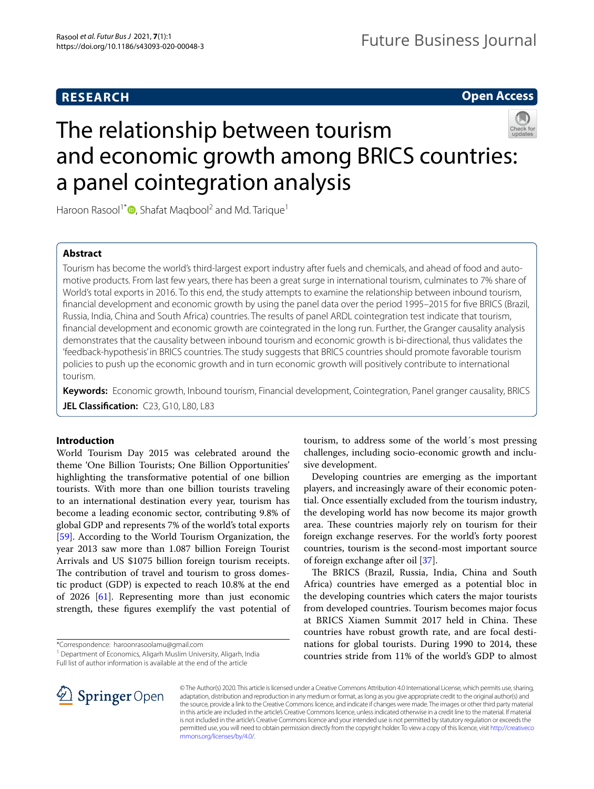# **RESEARCH**

**Open Access**

# The relationship between tourism and economic growth among BRICS countries: a panel cointegration analysis



Haroon Rasool<sup>1\*</sup><sup>®</sup>[,](http://orcid.org/0000-0002-0083-4553) Shafat Maqbool<sup>2</sup> and Md. Tarique<sup>1</sup>

# **Abstract**

Tourism has become the world's third-largest export industry after fuels and chemicals, and ahead of food and automotive products. From last few years, there has been a great surge in international tourism, culminates to 7% share of World's total exports in 2016. To this end, the study attempts to examine the relationship between inbound tourism, fnancial development and economic growth by using the panel data over the period 1995–2015 for fve BRICS (Brazil, Russia, India, China and South Africa) countries. The results of panel ARDL cointegration test indicate that tourism, fnancial development and economic growth are cointegrated in the long run. Further, the Granger causality analysis demonstrates that the causality between inbound tourism and economic growth is bi-directional, thus validates the 'feedback-hypothesis' in BRICS countries. The study suggests that BRICS countries should promote favorable tourism policies to push up the economic growth and in turn economic growth will positively contribute to international tourism.

**Keywords:** Economic growth, Inbound tourism, Financial development, Cointegration, Panel granger causality, BRICS **JEL Classification:** C23, G10, L80, L83

# **Introduction**

World Tourism Day 2015 was celebrated around the theme 'One Billion Tourists; One Billion Opportunities' highlighting the transformative potential of one billion tourists. With more than one billion tourists traveling to an international destination every year, tourism has become a leading economic sector, contributing 9.8% of global GDP and represents 7% of the world's total exports [[59\]](#page-10-0). According to the World Tourism Organization, the year 2013 saw more than 1.087 billion Foreign Tourist Arrivals and US \$1075 billion foreign tourism receipts. The contribution of travel and tourism to gross domestic product (GDP) is expected to reach 10.8% at the end of 2026 [[61\]](#page-10-1). Representing more than just economic strength, these fgures exemplify the vast potential of

<sup>1</sup> Department of Economics, Aligarh Muslim University, Aligarh, India Full list of author information is available at the end of the article

tourism, to address some of the world´s most pressing challenges, including socio-economic growth and inclusive development.

Developing countries are emerging as the important players, and increasingly aware of their economic potential. Once essentially excluded from the tourism industry, the developing world has now become its major growth area. These countries majorly rely on tourism for their foreign exchange reserves. For the world's forty poorest countries, tourism is the second-most important source of foreign exchange after oil [[37\]](#page-10-2).

The BRICS (Brazil, Russia, India, China and South Africa) countries have emerged as a potential bloc in the developing countries which caters the major tourists from developed countries. Tourism becomes major focus at BRICS Xiamen Summit 2017 held in China. These countries have robust growth rate, and are focal destinations for global tourists. During 1990 to 2014, these countries stride from 11% of the world's GDP to almost



© The Author(s) 2020. This article is licensed under a Creative Commons Attribution 4.0 International License, which permits use, sharing, adaptation, distribution and reproduction in any medium or format, as long as you give appropriate credit to the original author(s) and the source, provide a link to the Creative Commons licence, and indicate if changes were made. The images or other third party material in this article are included in the article's Creative Commons licence, unless indicated otherwise in a credit line to the material. If material is not included in the article's Creative Commons licence and your intended use is not permitted by statutory regulation or exceeds the permitted use, you will need to obtain permission directly from the copyright holder. To view a copy of this licence, visit [http://creativeco](http://creativecommons.org/licenses/by/4.0/) [mmons.org/licenses/by/4.0/.](http://creativecommons.org/licenses/by/4.0/)

<sup>\*</sup>Correspondence: haroonrasoolamu@gmail.com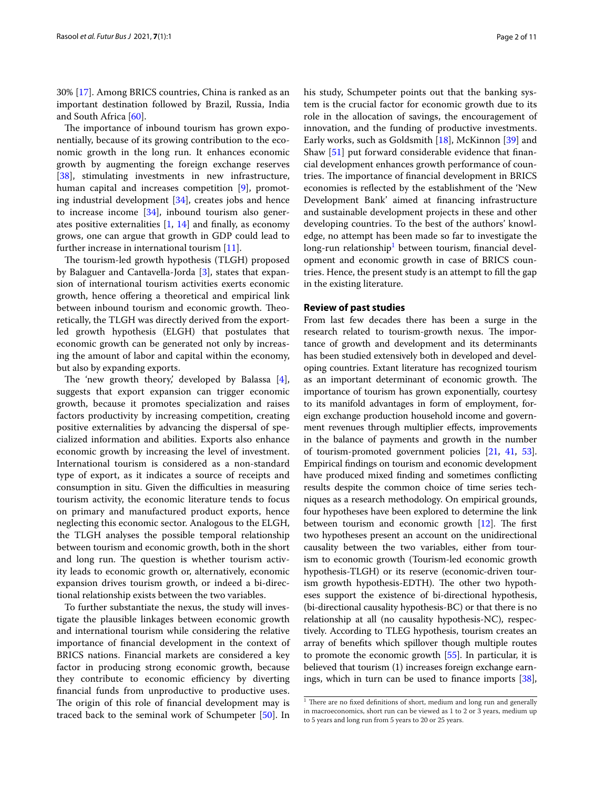30% [\[17\]](#page-9-0). Among BRICS countries, China is ranked as an important destination followed by Brazil, Russia, India and South Africa [[60](#page-10-3)].

The importance of inbound tourism has grown exponentially, because of its growing contribution to the economic growth in the long run. It enhances economic growth by augmenting the foreign exchange reserves [[38\]](#page-10-4), stimulating investments in new infrastructure, human capital and increases competition [[9](#page-9-1)], promoting industrial development [\[34\]](#page-10-5), creates jobs and hence to increase income [[34\]](#page-10-5), inbound tourism also generates positive externalities  $[1, 14]$  $[1, 14]$  $[1, 14]$  $[1, 14]$  and finally, as economy grows, one can argue that growth in GDP could lead to further increase in international tourism [\[11](#page-9-4)].

The tourism-led growth hypothesis (TLGH) proposed by Balaguer and Cantavella-Jorda [[3\]](#page-9-5), states that expansion of international tourism activities exerts economic growth, hence ofering a theoretical and empirical link between inbound tourism and economic growth. Theoretically, the TLGH was directly derived from the exportled growth hypothesis (ELGH) that postulates that economic growth can be generated not only by increasing the amount of labor and capital within the economy, but also by expanding exports.

The 'new growth theory', developed by Balassa  $[4]$  $[4]$ , suggests that export expansion can trigger economic growth, because it promotes specialization and raises factors productivity by increasing competition, creating positive externalities by advancing the dispersal of specialized information and abilities. Exports also enhance economic growth by increasing the level of investment. International tourism is considered as a non-standard type of export, as it indicates a source of receipts and consumption in situ. Given the difficulties in measuring tourism activity, the economic literature tends to focus on primary and manufactured product exports, hence neglecting this economic sector. Analogous to the ELGH, the TLGH analyses the possible temporal relationship between tourism and economic growth, both in the short and long run. The question is whether tourism activity leads to economic growth or, alternatively, economic expansion drives tourism growth, or indeed a bi-directional relationship exists between the two variables.

To further substantiate the nexus, the study will investigate the plausible linkages between economic growth and international tourism while considering the relative importance of fnancial development in the context of BRICS nations. Financial markets are considered a key factor in producing strong economic growth, because they contribute to economic efficiency by diverting fnancial funds from unproductive to productive uses. The origin of this role of financial development may is traced back to the seminal work of Schumpeter [\[50\]](#page-10-6). In his study, Schumpeter points out that the banking system is the crucial factor for economic growth due to its role in the allocation of savings, the encouragement of innovation, and the funding of productive investments. Early works, such as Goldsmith [[18\]](#page-9-7), McKinnon [[39\]](#page-10-7) and Shaw [[51\]](#page-10-8) put forward considerable evidence that fnancial development enhances growth performance of countries. The importance of financial development in BRICS economies is refected by the establishment of the 'New Development Bank' aimed at fnancing infrastructure and sustainable development projects in these and other developing countries. To the best of the authors' knowledge, no attempt has been made so far to investigate the long-run relationship<sup>[1](#page-1-0)</sup> between tourism, financial development and economic growth in case of BRICS countries. Hence, the present study is an attempt to fll the gap in the existing literature.

# **Review of past studies**

From last few decades there has been a surge in the research related to tourism-growth nexus. The importance of growth and development and its determinants has been studied extensively both in developed and developing countries. Extant literature has recognized tourism as an important determinant of economic growth. The importance of tourism has grown exponentially, courtesy to its manifold advantages in form of employment, foreign exchange production household income and government revenues through multiplier efects, improvements in the balance of payments and growth in the number of tourism-promoted government policies [[21,](#page-9-8) [41](#page-10-9), [53](#page-10-10)]. Empirical fndings on tourism and economic development have produced mixed fnding and sometimes conficting results despite the common choice of time series techniques as a research methodology. On empirical grounds, four hypotheses have been explored to determine the link between tourism and economic growth  $[12]$ . The first two hypotheses present an account on the unidirectional causality between the two variables, either from tourism to economic growth (Tourism-led economic growth hypothesis-TLGH) or its reserve (economic-driven tourism growth hypothesis-EDTH). The other two hypotheses support the existence of bi-directional hypothesis, (bi-directional causality hypothesis-BC) or that there is no relationship at all (no causality hypothesis-NC), respectively. According to TLEG hypothesis, tourism creates an array of benefts which spillover though multiple routes to promote the economic growth [[55](#page-10-11)]. In particular, it is believed that tourism (1) increases foreign exchange earnings, which in turn can be used to fnance imports [[38](#page-10-4)],

<span id="page-1-0"></span> $1$  There are no fixed definitions of short, medium and long run and generally in macroeconomics, short run can be viewed as 1 to 2 or 3 years, medium up to 5 years and long run from 5 years to 20 or 25 years.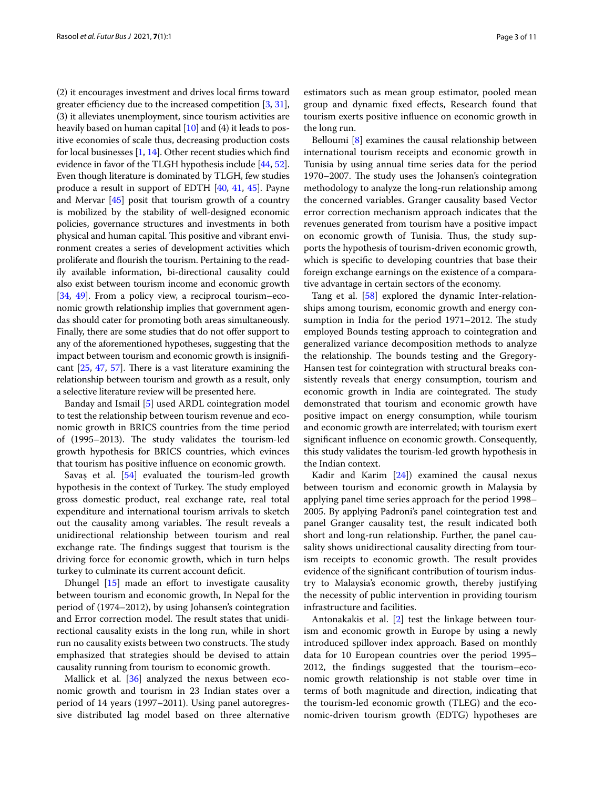(2) it encourages investment and drives local frms toward greater efficiency due to the increased competition  $[3, 31]$  $[3, 31]$  $[3, 31]$  $[3, 31]$ , (3) it alleviates unemployment, since tourism activities are heavily based on human capital [[10](#page-9-10)] and (4) it leads to positive economies of scale thus, decreasing production costs for local businesses  $[1, 14]$  $[1, 14]$  $[1, 14]$  $[1, 14]$  $[1, 14]$ . Other recent studies which find evidence in favor of the TLGH hypothesis include [\[44](#page-10-13), [52](#page-10-14)]. Even though literature is dominated by TLGH, few studies produce a result in support of EDTH [[40](#page-10-15), [41,](#page-10-9) [45\]](#page-10-16). Payne and Mervar [\[45\]](#page-10-16) posit that tourism growth of a country is mobilized by the stability of well-designed economic policies, governance structures and investments in both physical and human capital. This positive and vibrant environment creates a series of development activities which proliferate and flourish the tourism. Pertaining to the readily available information, bi-directional causality could also exist between tourism income and economic growth [[34](#page-10-5), [49\]](#page-10-17). From a policy view, a reciprocal tourism–economic growth relationship implies that government agendas should cater for promoting both areas simultaneously. Finally, there are some studies that do not offer support to any of the aforementioned hypotheses, suggesting that the impact between tourism and economic growth is insignifcant  $[25, 47, 57]$  $[25, 47, 57]$  $[25, 47, 57]$  $[25, 47, 57]$  $[25, 47, 57]$  $[25, 47, 57]$ . There is a vast literature examining the relationship between tourism and growth as a result, only a selective literature review will be presented here.

Banday and Ismail [\[5](#page-9-11)] used ARDL cointegration model to test the relationship between tourism revenue and economic growth in BRICS countries from the time period of (1995-2013). The study validates the tourism-led growth hypothesis for BRICS countries, which evinces that tourism has positive infuence on economic growth.

Savaş et al. [[54\]](#page-10-21) evaluated the tourism-led growth hypothesis in the context of Turkey. The study employed gross domestic product, real exchange rate, real total expenditure and international tourism arrivals to sketch out the causality among variables. The result reveals a unidirectional relationship between tourism and real exchange rate. The findings suggest that tourism is the driving force for economic growth, which in turn helps turkey to culminate its current account deficit.

Dhungel  $[15]$  $[15]$  made an effort to investigate causality between tourism and economic growth, In Nepal for the period of (1974–2012), by using Johansen's cointegration and Error correction model. The result states that unidirectional causality exists in the long run, while in short run no causality exists between two constructs. The study emphasized that strategies should be devised to attain causality running from tourism to economic growth.

Mallick et al. [\[36](#page-10-22)] analyzed the nexus between economic growth and tourism in 23 Indian states over a period of 14 years (1997–2011). Using panel autoregressive distributed lag model based on three alternative estimators such as mean group estimator, pooled mean group and dynamic fxed efects, Research found that tourism exerts positive infuence on economic growth in the long run.

Belloumi [[8\]](#page-9-13) examines the causal relationship between international tourism receipts and economic growth in Tunisia by using annual time series data for the period 1970–2007. The study uses the Johansen's cointegration methodology to analyze the long-run relationship among the concerned variables. Granger causality based Vector error correction mechanism approach indicates that the revenues generated from tourism have a positive impact on economic growth of Tunisia. Thus, the study supports the hypothesis of tourism-driven economic growth, which is specifc to developing countries that base their foreign exchange earnings on the existence of a comparative advantage in certain sectors of the economy.

Tang et al. [\[58\]](#page-10-23) explored the dynamic Inter-relationships among tourism, economic growth and energy consumption in India for the period 1971–2012. The study employed Bounds testing approach to cointegration and generalized variance decomposition methods to analyze the relationship. The bounds testing and the Gregory-Hansen test for cointegration with structural breaks consistently reveals that energy consumption, tourism and economic growth in India are cointegrated. The study demonstrated that tourism and economic growth have positive impact on energy consumption, while tourism and economic growth are interrelated; with tourism exert signifcant infuence on economic growth. Consequently, this study validates the tourism-led growth hypothesis in the Indian context.

Kadir and Karim [\[24](#page-9-14)]) examined the causal nexus between tourism and economic growth in Malaysia by applying panel time series approach for the period 1998– 2005. By applying Padroni's panel cointegration test and panel Granger causality test, the result indicated both short and long-run relationship. Further, the panel causality shows unidirectional causality directing from tourism receipts to economic growth. The result provides evidence of the signifcant contribution of tourism industry to Malaysia's economic growth, thereby justifying the necessity of public intervention in providing tourism infrastructure and facilities.

Antonakakis et al. [\[2\]](#page-9-15) test the linkage between tourism and economic growth in Europe by using a newly introduced spillover index approach. Based on monthly data for 10 European countries over the period 1995– 2012, the fndings suggested that the tourism–economic growth relationship is not stable over time in terms of both magnitude and direction, indicating that the tourism-led economic growth (TLEG) and the economic-driven tourism growth (EDTG) hypotheses are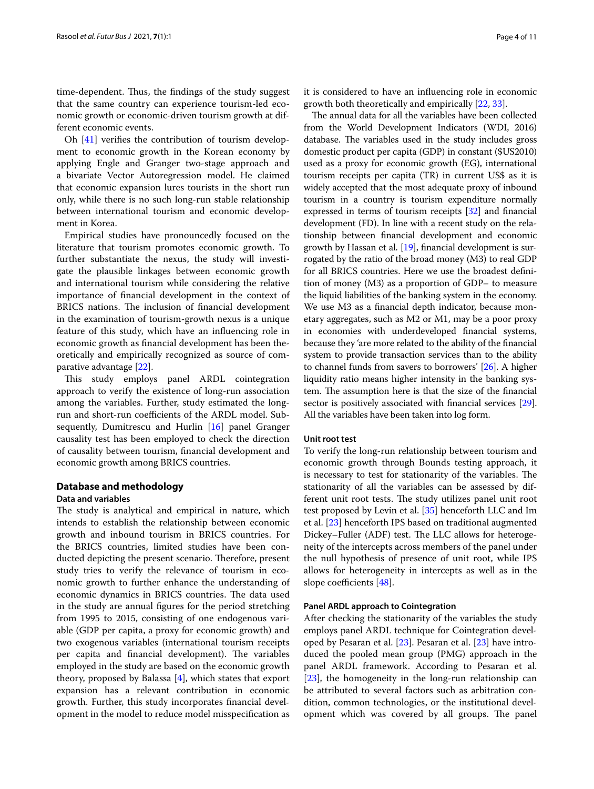time-dependent. Thus, the findings of the study suggest that the same country can experience tourism-led economic growth or economic-driven tourism growth at different economic events.

Oh [[41\]](#page-10-9) verifes the contribution of tourism development to economic growth in the Korean economy by applying Engle and Granger two-stage approach and a bivariate Vector Autoregression model. He claimed that economic expansion lures tourists in the short run only, while there is no such long-run stable relationship between international tourism and economic development in Korea.

Empirical studies have pronouncedly focused on the literature that tourism promotes economic growth. To further substantiate the nexus, the study will investigate the plausible linkages between economic growth and international tourism while considering the relative importance of fnancial development in the context of BRICS nations. The inclusion of financial development in the examination of tourism-growth nexus is a unique feature of this study, which have an infuencing role in economic growth as fnancial development has been theoretically and empirically recognized as source of comparative advantage [\[22](#page-9-16)].

This study employs panel ARDL cointegration approach to verify the existence of long-run association among the variables. Further, study estimated the longrun and short-run coefficients of the ARDL model. Subsequently, Dumitrescu and Hurlin [\[16](#page-9-17)] panel Granger causality test has been employed to check the direction of causality between tourism, fnancial development and economic growth among BRICS countries.

# **Database and methodology**

#### **Data and variables**

The study is analytical and empirical in nature, which intends to establish the relationship between economic growth and inbound tourism in BRICS countries. For the BRICS countries, limited studies have been conducted depicting the present scenario. Therefore, present study tries to verify the relevance of tourism in economic growth to further enhance the understanding of economic dynamics in BRICS countries. The data used in the study are annual fgures for the period stretching from 1995 to 2015, consisting of one endogenous variable (GDP per capita, a proxy for economic growth) and two exogenous variables (international tourism receipts per capita and financial development). The variables employed in the study are based on the economic growth theory, proposed by Balassa [[4\]](#page-9-6), which states that export expansion has a relevant contribution in economic growth. Further, this study incorporates fnancial development in the model to reduce model misspecifcation as it is considered to have an infuencing role in economic growth both theoretically and empirically [[22](#page-9-16), [33\]](#page-10-24).

The annual data for all the variables have been collected from the World Development Indicators (WDI, 2016) database. The variables used in the study includes gross domestic product per capita (GDP) in constant (\$US2010) used as a proxy for economic growth (EG), international tourism receipts per capita (TR) in current US\$ as it is widely accepted that the most adequate proxy of inbound tourism in a country is tourism expenditure normally expressed in terms of tourism receipts [[32](#page-10-25)] and fnancial development (FD). In line with a recent study on the relationship between fnancial development and economic growth by Hassan et al. [[19](#page-9-18)], fnancial development is surrogated by the ratio of the broad money (M3) to real GDP for all BRICS countries. Here we use the broadest defnition of money (M3) as a proportion of GDP– to measure the liquid liabilities of the banking system in the economy. We use M3 as a fnancial depth indicator, because monetary aggregates, such as M2 or M1, may be a poor proxy in economies with underdeveloped fnancial systems, because they 'are more related to the ability of the fnancial system to provide transaction services than to the ability to channel funds from savers to borrowers' [\[26\]](#page-10-26). A higher liquidity ratio means higher intensity in the banking system. The assumption here is that the size of the financial sector is positively associated with financial services [[29](#page-10-27)]. All the variables have been taken into log form.

#### **Unit root test**

To verify the long-run relationship between tourism and economic growth through Bounds testing approach, it is necessary to test for stationarity of the variables. The stationarity of all the variables can be assessed by different unit root tests. The study utilizes panel unit root test proposed by Levin et al. [\[35\]](#page-10-28) henceforth LLC and Im et al. [[23\]](#page-9-19) henceforth IPS based on traditional augmented Dickey–Fuller (ADF) test. The LLC allows for heterogeneity of the intercepts across members of the panel under the null hypothesis of presence of unit root, while IPS allows for heterogeneity in intercepts as well as in the slope coefficients  $[48]$  $[48]$ .

# **Panel ARDL approach to Cointegration**

After checking the stationarity of the variables the study employs panel ARDL technique for Cointegration developed by Pesaran et al. [\[23\]](#page-9-19). Pesaran et al. [[23\]](#page-9-19) have introduced the pooled mean group (PMG) approach in the panel ARDL framework. According to Pesaran et al. [[23\]](#page-9-19), the homogeneity in the long-run relationship can be attributed to several factors such as arbitration condition, common technologies, or the institutional development which was covered by all groups. The panel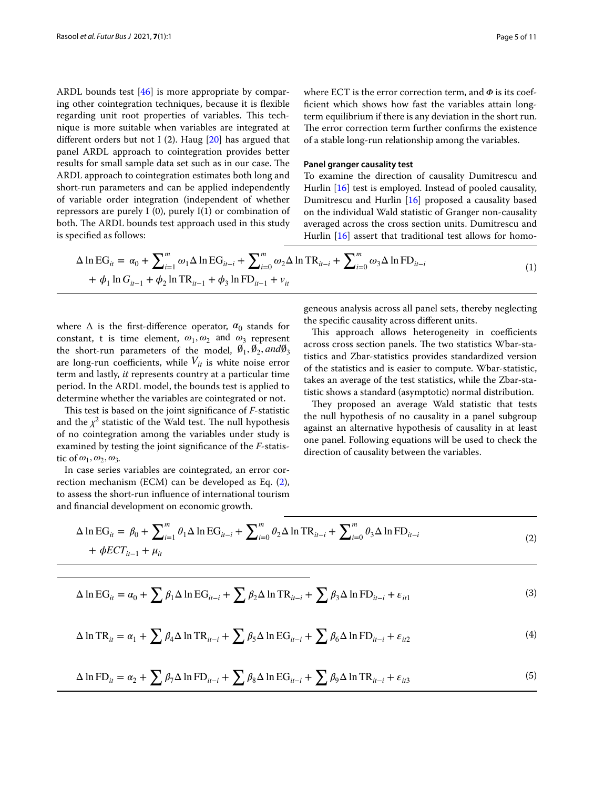ARDL bounds test [[46\]](#page-10-30) is more appropriate by comparing other cointegration techniques, because it is fexible regarding unit root properties of variables. This technique is more suitable when variables are integrated at different orders but not I (2). Haug  $[20]$  $[20]$  has argued that panel ARDL approach to cointegration provides better results for small sample data set such as in our case. The ARDL approach to cointegration estimates both long and short-run parameters and can be applied independently of variable order integration (independent of whether repressors are purely I  $(0)$ , purely I $(1)$  or combination of both. The ARDL bounds test approach used in this study is specifed as follows:

where ECT is the error correction term, and  $\Phi$  is its coeffcient which shows how fast the variables attain longterm equilibrium if there is any deviation in the short run. The error correction term further confirms the existence of a stable long-run relationship among the variables.

## **Panel granger causality test**

To examine the direction of causality Dumitrescu and Hurlin [[16\]](#page-9-17) test is employed. Instead of pooled causality, Dumitrescu and Hurlin [\[16](#page-9-17)] proposed a causality based on the individual Wald statistic of Granger non-causality averaged across the cross section units. Dumitrescu and Hurlin [\[16](#page-9-17)] assert that traditional test allows for homo-

$$
\Delta \ln \mathrm{EG}_{it} = \alpha_0 + \sum_{i=1}^{m} \omega_1 \Delta \ln \mathrm{EG}_{it-i} + \sum_{i=0}^{m} \omega_2 \Delta \ln \mathrm{TR}_{it-i} + \sum_{i=0}^{m} \omega_3 \Delta \ln \mathrm{FD}_{it-i} + \phi_1 \ln G_{it-1} + \phi_2 \ln \mathrm{TR}_{it-1} + \phi_3 \ln \mathrm{FD}_{it-1} + v_{it}
$$
\n(1)

where  $\Delta$  is the first-difference operator,  $\alpha_0$  stands for constant, t is time element,  $\omega_1, \omega_2$  and  $\omega_3$  represent the short-run parameters of the model,  $\emptyset_1$ ,  $\emptyset_2$ , and $\emptyset_3$ are long-run coefficients, while  $V_{it}$  is white noise error term and lastly, *it* represents country at a particular time period. In the ARDL model, the bounds test is applied to determine whether the variables are cointegrated or not.

This test is based on the joint significance of *F*-statistic and the  $\chi^2$  statistic of the Wald test. The null hypothesis of no cointegration among the variables under study is examined by testing the joint signifcance of the *F*-statistic of  $\omega_1, \omega_2, \omega_3$ .

In case series variables are cointegrated, an error correction mechanism (ECM) can be developed as Eq. [\(2](#page-4-0)), to assess the short-run infuence of international tourism and fnancial development on economic growth.

<span id="page-4-1"></span>geneous analysis across all panel sets, thereby neglecting the specifc causality across diferent units.

This approach allows heterogeneity in coefficients across cross section panels. The two statistics Wbar-statistics and Zbar-statistics provides standardized version of the statistics and is easier to compute. Wbar-statistic, takes an average of the test statistics, while the Zbar-statistic shows a standard (asymptotic) normal distribution.

<span id="page-4-0"></span>They proposed an average Wald statistic that tests the null hypothesis of no causality in a panel subgroup against an alternative hypothesis of causality in at least one panel. Following equations will be used to check the direction of causality between the variables.

$$
\Delta \ln \mathrm{EG}_{it} = \beta_0 + \sum_{i=1}^{m} \theta_i \Delta \ln \mathrm{EG}_{it-i} + \sum_{i=0}^{m} \theta_2 \Delta \ln \mathrm{TR}_{it-i} + \sum_{i=0}^{m} \theta_3 \Delta \ln \mathrm{FD}_{it-i} + \phi ECT_{it-1} + \mu_{it}
$$
\n(2)

$$
\Delta \ln \mathrm{EG}_{it} = \alpha_0 + \sum \beta_1 \Delta \ln \mathrm{EG}_{it-i} + \sum \beta_2 \Delta \ln \mathrm{TR}_{it-i} + \sum \beta_3 \Delta \ln \mathrm{FD}_{it-i} + \varepsilon_{it1}
$$
\n(3)

$$
\Delta \ln \text{TR}_{it} = \alpha_1 + \sum \beta_4 \Delta \ln \text{TR}_{it-i} + \sum \beta_5 \Delta \ln \text{EG}_{it-i} + \sum \beta_6 \Delta \ln \text{FD}_{it-i} + \varepsilon_{it2}
$$
\n(4)

$$
\Delta \ln FD_{it} = \alpha_2 + \sum \beta_7 \Delta \ln FD_{it-i} + \sum \beta_8 \Delta \ln EG_{it-i} + \sum \beta_9 \Delta \ln TR_{it-i} + \varepsilon_{it3}
$$
\n(5)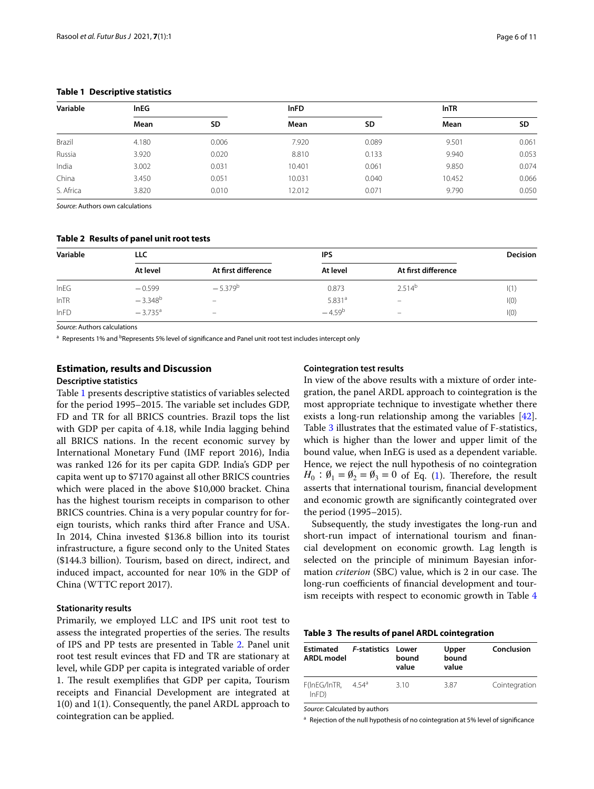| Variable  | <b>InEG</b> |       | <b>InFD</b> |           | <b>InTR</b> |       |
|-----------|-------------|-------|-------------|-----------|-------------|-------|
|           | Mean        | SD    | Mean        | <b>SD</b> | Mean        | SD    |
| Brazil    | 4.180       | 0.006 | 7.920       | 0.089     | 9.501       | 0.061 |
| Russia    | 3.920       | 0.020 | 8.810       | 0.133     | 9.940       | 0.053 |
| India     | 3.002       | 0.031 | 10.401      | 0.061     | 9.850       | 0.074 |
| China     | 3.450       | 0.051 | 10.031      | 0.040     | 10.452      | 0.066 |
| S. Africa | 3.820       | 0.010 | 12.012      | 0.071     | 9.790       | 0.050 |

# <span id="page-5-0"></span>**Table 1 Descriptive statistics**

*Source*: Authors own calculations

## <span id="page-5-1"></span>**Table 2 Results of panel unit root tests**

| Variable | LLC                   |                          | IPS                |                          | <b>Decision</b> |
|----------|-----------------------|--------------------------|--------------------|--------------------------|-----------------|
|          | At level              | At first difference      | At level           | At first difference      |                 |
| InEG     | $-0.599$              | $-5.379^{b}$             | 0.873              | $2.514^{b}$              | 1(1)            |
| InTR     | $-3.348^{b}$          | -                        | 5.831 <sup>a</sup> | -                        | I(0)            |
| InFD     | $-3.735$ <sup>a</sup> | $\overline{\phantom{m}}$ | $-4.59^{b}$        | $\overline{\phantom{m}}$ | I(0)            |

*Source*: Authors calculations

<sup>a</sup> Represents 1% and <sup>b</sup>Represents 5% level of significance and Panel unit root test includes intercept only

# **Estimation, results and Discussion**

# **Descriptive statistics**

Table [1](#page-5-0) presents descriptive statistics of variables selected for the period 1995–2015. The variable set includes GDP, FD and TR for all BRICS countries. Brazil tops the list with GDP per capita of 4.18, while India lagging behind all BRICS nations. In the recent economic survey by International Monetary Fund (IMF report 2016), India was ranked 126 for its per capita GDP. India's GDP per capita went up to \$7170 against all other BRICS countries which were placed in the above \$10,000 bracket. China has the highest tourism receipts in comparison to other BRICS countries. China is a very popular country for foreign tourists, which ranks third after France and USA. In 2014, China invested \$136.8 billion into its tourist infrastructure, a fgure second only to the United States (\$144.3 billion). Tourism, based on direct, indirect, and induced impact, accounted for near 10% in the GDP of China (WTTC report 2017).

#### **Stationarity results**

Primarily, we employed LLC and IPS unit root test to assess the integrated properties of the series. The results of IPS and PP tests are presented in Table [2](#page-5-1). Panel unit root test result evinces that FD and TR are stationary at level, while GDP per capita is integrated variable of order 1. The result exemplifies that GDP per capita, Tourism receipts and Financial Development are integrated at 1(0) and 1(1). Consequently, the panel ARDL approach to cointegration can be applied.

# **Cointegration test results**

In view of the above results with a mixture of order integration, the panel ARDL approach to cointegration is the most appropriate technique to investigate whether there exists a long-run relationship among the variables [\[42](#page-10-31)]. Table [3](#page-5-2) illustrates that the estimated value of F-statistics, which is higher than the lower and upper limit of the bound value, when InEG is used as a dependent variable. Hence, we reject the null hypothesis of no cointegration  $H_0$ :  $\emptyset_1 = \emptyset_2 = \emptyset_3 = 0$  of Eq. [\(1\)](#page-4-1). Therefore, the result asserts that international tourism, fnancial development and economic growth are signifcantly cointegrated over the period (1995–2015).

Subsequently, the study investigates the long-run and short-run impact of international tourism and fnancial development on economic growth. Lag length is selected on the principle of minimum Bayesian information *criterion* (SBC) value, which is 2 in our case. The long-run coefficients of financial development and tourism receipts with respect to economic growth in Table [4](#page-6-0)

<span id="page-5-2"></span>

| Table 3 The results of panel ARDL cointegration |  |  |  |  |
|-------------------------------------------------|--|--|--|--|
|-------------------------------------------------|--|--|--|--|

| <b>Estimated</b><br><b>ARDL</b> model | <b>F-statistics Lower</b> | bound<br>value | Upper<br>bound<br>value | Conclusion    |
|---------------------------------------|---------------------------|----------------|-------------------------|---------------|
| F(InEG/InTR.<br>$lnFD$ )              | $4.54^{a}$                | 3.10           | 387                     | Cointegration |

*Source*: Calculated by authors

a Rejection of the null hypothesis of no cointegration at 5% level of significance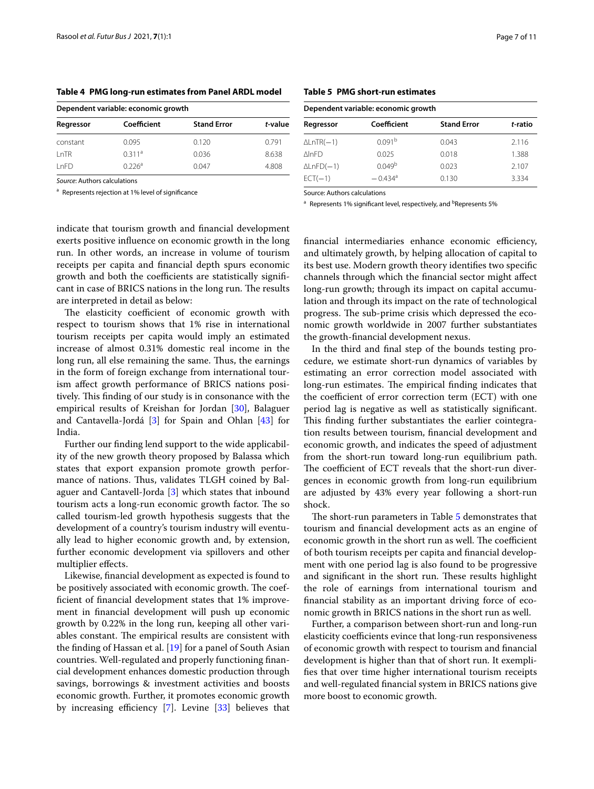| Dependent variable: economic growth |                    |                    |         |  |
|-------------------------------------|--------------------|--------------------|---------|--|
| Regressor                           | Coefficient        | <b>Stand Error</b> | t-value |  |
| constant                            | 0.095              | 0.120              | 0791    |  |
| l nTR                               | 0.311 <sup>a</sup> | 0.036              | 8638    |  |

 $LnFD$  0.226<sup>a</sup> 0.047 4.808

<span id="page-6-0"></span>**Table 4 PMG long-run estimates from Panel ARDL model**

*Source*: Authors calculations

<sup>a</sup> Represents rejection at 1% level of signifcance

indicate that tourism growth and fnancial development exerts positive infuence on economic growth in the long run. In other words, an increase in volume of tourism receipts per capita and fnancial depth spurs economic growth and both the coefficients are statistically significant in case of BRICS nations in the long run. The results are interpreted in detail as below:

The elasticity coefficient of economic growth with respect to tourism shows that 1% rise in international tourism receipts per capita would imply an estimated increase of almost 0.31% domestic real income in the long run, all else remaining the same. Thus, the earnings in the form of foreign exchange from international tourism afect growth performance of BRICS nations positively. This finding of our study is in consonance with the empirical results of Kreishan for Jordan [\[30\]](#page-10-32), Balaguer and Cantavella-Jordá [\[3](#page-9-5)] for Spain and Ohlan [\[43](#page-10-33)] for India.

Further our fnding lend support to the wide applicability of the new growth theory proposed by Balassa which states that export expansion promote growth performance of nations. Thus, validates TLGH coined by Balaguer and Cantavell-Jorda [\[3](#page-9-5)] which states that inbound tourism acts a long-run economic growth factor. The so called tourism-led growth hypothesis suggests that the development of a country's tourism industry will eventually lead to higher economic growth and, by extension, further economic development via spillovers and other multiplier efects.

Likewise, fnancial development as expected is found to be positively associated with economic growth. The coeffcient of fnancial development states that 1% improvement in fnancial development will push up economic growth by 0.22% in the long run, keeping all other variables constant. The empirical results are consistent with the fnding of Hassan et al. [[19\]](#page-9-18) for a panel of South Asian countries. Well-regulated and properly functioning fnancial development enhances domestic production through savings, borrowings & investment activities and boosts economic growth. Further, it promotes economic growth by increasing efficiency  $[7]$  $[7]$ . Levine  $[33]$  $[33]$  believes that

<span id="page-6-1"></span>

| Dependent variable: economic growth |                       |                    |         |  |
|-------------------------------------|-----------------------|--------------------|---------|--|
| Regressor                           | Coefficient           | <b>Stand Error</b> | t-ratio |  |
| $\Delta$ LnTR( $-1$ )               | 0.091 <sup>b</sup>    | 0.043              | 2.116   |  |
| <b>NInFD</b>                        | 0.025                 | 0.018              | 1.388   |  |
| $\Delta$ LnFD $(-1)$                | 0.049 <sup>b</sup>    | 0.023              | 2.107   |  |
| $ECT( - 1)$                         | $-0.434$ <sup>a</sup> | 0.130              | 3.334   |  |

Source: Authors calculations

<sup>a</sup> Represents 1% significant level, respectively, and <sup>b</sup>Represents 5%

financial intermediaries enhance economic efficiency, and ultimately growth, by helping allocation of capital to its best use. Modern growth theory identifes two specifc channels through which the fnancial sector might afect long-run growth; through its impact on capital accumulation and through its impact on the rate of technological progress. The sub-prime crisis which depressed the economic growth worldwide in 2007 further substantiates the growth-fnancial development nexus.

In the third and fnal step of the bounds testing procedure, we estimate short-run dynamics of variables by estimating an error correction model associated with long-run estimates. The empirical finding indicates that the coefficient of error correction term (ECT) with one period lag is negative as well as statistically signifcant. This finding further substantiates the earlier cointegration results between tourism, fnancial development and economic growth, and indicates the speed of adjustment from the short-run toward long-run equilibrium path. The coefficient of ECT reveals that the short-run divergences in economic growth from long-run equilibrium are adjusted by 43% every year following a short-run shock.

The short-run parameters in Table [5](#page-6-1) demonstrates that tourism and fnancial development acts as an engine of economic growth in the short run as well. The coefficient of both tourism receipts per capita and fnancial development with one period lag is also found to be progressive and significant in the short run. These results highlight the role of earnings from international tourism and fnancial stability as an important driving force of economic growth in BRICS nations in the short run as well.

Further, a comparison between short-run and long-run elasticity coefficients evince that long-run responsiveness of economic growth with respect to tourism and fnancial development is higher than that of short run. It exemplifes that over time higher international tourism receipts and well-regulated fnancial system in BRICS nations give more boost to economic growth.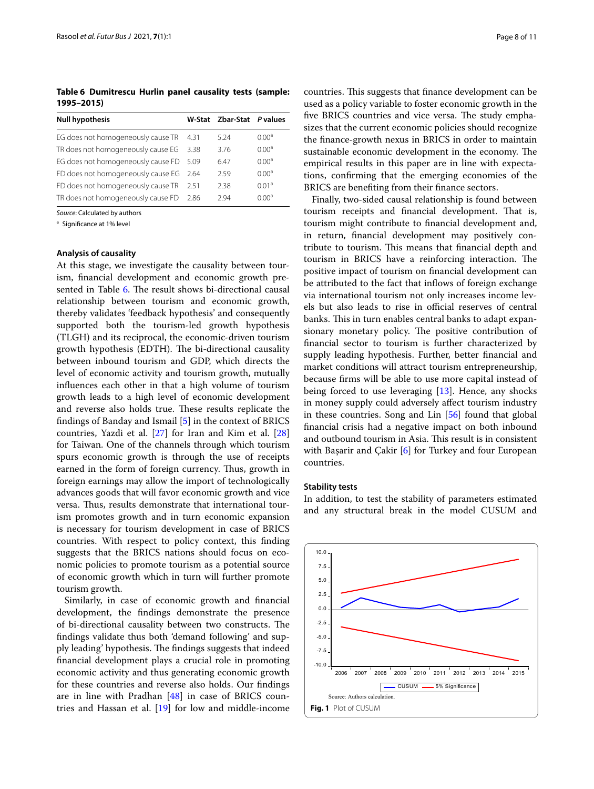<span id="page-7-0"></span>**Table 6 Dumitrescu Hurlin panel causality tests (sample: 1995–2015)**

| <b>Null hypothesis</b>                  |      | W-Stat Zbar-Stat P values |                   |
|-----------------------------------------|------|---------------------------|-------------------|
| EG does not homogeneously cause TR      | 4.31 | 5.24                      | 0.00 <sup>a</sup> |
| TR does not homogeneously cause EG      | 3.38 | 3.76                      | 0.00 <sup>a</sup> |
| EG does not homogeneously cause FD      | 5.09 | 6.47                      | 0.00 <sup>a</sup> |
| FD does not homogeneously cause EG 2.64 |      | 2.59                      | 0.00 <sup>a</sup> |
| FD does not homogeneously cause TR      | 2.51 | 2.38                      | 0.01 <sup>a</sup> |
| TR does not homogeneously cause FD      | 2.86 | 294                       | 0.00 <sup>a</sup> |

*Source*: Calculated by authors

<sup>a</sup> Significance at 1% level

#### **Analysis of causality**

At this stage, we investigate the causality between tourism, fnancial development and economic growth pre-sented in Table [6](#page-7-0). The result shows bi-directional causal relationship between tourism and economic growth, thereby validates 'feedback hypothesis' and consequently supported both the tourism-led growth hypothesis (TLGH) and its reciprocal, the economic-driven tourism growth hypothesis (EDTH). The bi-directional causality between inbound tourism and GDP, which directs the level of economic activity and tourism growth, mutually infuences each other in that a high volume of tourism growth leads to a high level of economic development and reverse also holds true. These results replicate the fndings of Banday and Ismail [\[5](#page-9-11)] in the context of BRICS countries, Yazdi et al.  $[27]$  $[27]$  for Iran and Kim et al.  $[28]$  $[28]$  $[28]$ for Taiwan. One of the channels through which tourism spurs economic growth is through the use of receipts earned in the form of foreign currency. Thus, growth in foreign earnings may allow the import of technologically advances goods that will favor economic growth and vice versa. Thus, results demonstrate that international tourism promotes growth and in turn economic expansion is necessary for tourism development in case of BRICS countries. With respect to policy context, this fnding suggests that the BRICS nations should focus on economic policies to promote tourism as a potential source of economic growth which in turn will further promote tourism growth.

Similarly, in case of economic growth and fnancial development, the fndings demonstrate the presence of bi-directional causality between two constructs. The fndings validate thus both 'demand following' and supply leading' hypothesis. The findings suggests that indeed fnancial development plays a crucial role in promoting economic activity and thus generating economic growth for these countries and reverse also holds. Our fndings are in line with Pradhan [[48](#page-10-29)] in case of BRICS countries and Hassan et al. [[19](#page-9-18)] for low and middle-income

countries. This suggests that finance development can be used as a policy variable to foster economic growth in the five BRICS countries and vice versa. The study emphasizes that the current economic policies should recognize the fnance-growth nexus in BRICS in order to maintain sustainable economic development in the economy. The empirical results in this paper are in line with expectations, confrming that the emerging economies of the BRICS are benefting from their fnance sectors.

Finally, two-sided causal relationship is found between tourism receipts and financial development. That is, tourism might contribute to fnancial development and, in return, fnancial development may positively contribute to tourism. This means that financial depth and tourism in BRICS have a reinforcing interaction. The positive impact of tourism on fnancial development can be attributed to the fact that infows of foreign exchange via international tourism not only increases income levels but also leads to rise in official reserves of central banks. This in turn enables central banks to adapt expansionary monetary policy. The positive contribution of fnancial sector to tourism is further characterized by supply leading hypothesis. Further, better fnancial and market conditions will attract tourism entrepreneurship, because frms will be able to use more capital instead of being forced to use leveraging [[13\]](#page-9-22). Hence, any shocks in money supply could adversely afect tourism industry in these countries. Song and Lin [[56](#page-10-36)] found that global fnancial crisis had a negative impact on both inbound and outbound tourism in Asia. This result is in consistent with Başarir and Çakir [\[6](#page-9-23)] for Turkey and four European countries.

#### **Stability tests**

In addition, to test the stability of parameters estimated and any structural break in the model CUSUM and

<span id="page-7-1"></span>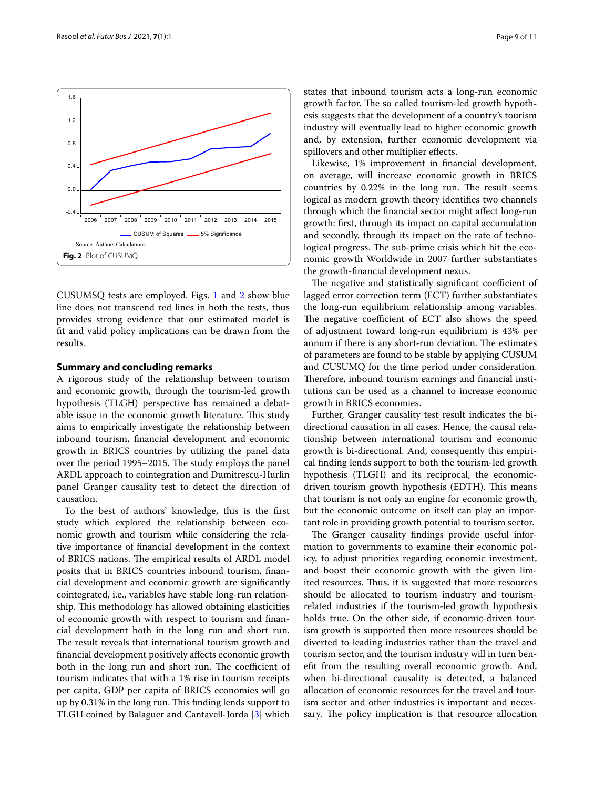<span id="page-8-0"></span>CUSUMSQ tests are employed. Figs. [1](#page-7-1) and [2](#page-8-0) show blue line does not transcend red lines in both the tests, thus provides strong evidence that our estimated model is ft and valid policy implications can be drawn from the results.

# **Summary and concluding remarks**

A rigorous study of the relationship between tourism and economic growth, through the tourism-led growth hypothesis (TLGH) perspective has remained a debatable issue in the economic growth literature. This study aims to empirically investigate the relationship between inbound tourism, fnancial development and economic growth in BRICS countries by utilizing the panel data over the period 1995–2015. The study employs the panel ARDL approach to cointegration and Dumitrescu-Hurlin panel Granger causality test to detect the direction of causation.

To the best of authors' knowledge, this is the frst study which explored the relationship between economic growth and tourism while considering the relative importance of fnancial development in the context of BRICS nations. The empirical results of ARDL model posits that in BRICS countries inbound tourism, fnancial development and economic growth are signifcantly cointegrated, i.e., variables have stable long-run relationship. This methodology has allowed obtaining elasticities of economic growth with respect to tourism and fnancial development both in the long run and short run. The result reveals that international tourism growth and fnancial development positively afects economic growth both in the long run and short run. The coefficient of tourism indicates that with a 1% rise in tourism receipts per capita, GDP per capita of BRICS economies will go up by 0.31% in the long run. This finding lends support to TLGH coined by Balaguer and Cantavell-Jorda [[3\]](#page-9-5) which states that inbound tourism acts a long-run economic growth factor. The so called tourism-led growth hypothesis suggests that the development of a country's tourism industry will eventually lead to higher economic growth and, by extension, further economic development via spillovers and other multiplier efects.

Likewise, 1% improvement in fnancial development, on average, will increase economic growth in BRICS countries by  $0.22\%$  in the long run. The result seems logical as modern growth theory identifes two channels through which the fnancial sector might afect long-run growth: frst, through its impact on capital accumulation and secondly, through its impact on the rate of technological progress. The sub-prime crisis which hit the economic growth Worldwide in 2007 further substantiates the growth-fnancial development nexus.

The negative and statistically significant coefficient of lagged error correction term (ECT) further substantiates the long-run equilibrium relationship among variables. The negative coefficient of ECT also shows the speed of adjustment toward long-run equilibrium is 43% per annum if there is any short-run deviation. The estimates of parameters are found to be stable by applying CUSUM and CUSUMQ for the time period under consideration. Therefore, inbound tourism earnings and financial institutions can be used as a channel to increase economic growth in BRICS economies.

Further, Granger causality test result indicates the bidirectional causation in all cases. Hence, the causal relationship between international tourism and economic growth is bi-directional. And, consequently this empirical fnding lends support to both the tourism-led growth hypothesis (TLGH) and its reciprocal, the economicdriven tourism growth hypothesis (EDTH). This means that tourism is not only an engine for economic growth, but the economic outcome on itself can play an important role in providing growth potential to tourism sector.

The Granger causality findings provide useful information to governments to examine their economic policy, to adjust priorities regarding economic investment, and boost their economic growth with the given limited resources. Thus, it is suggested that more resources should be allocated to tourism industry and tourismrelated industries if the tourism-led growth hypothesis holds true. On the other side, if economic-driven tourism growth is supported then more resources should be diverted to leading industries rather than the travel and tourism sector, and the tourism industry will in turn beneft from the resulting overall economic growth. And, when bi-directional causality is detected, a balanced allocation of economic resources for the travel and tourism sector and other industries is important and necessary. The policy implication is that resource allocation

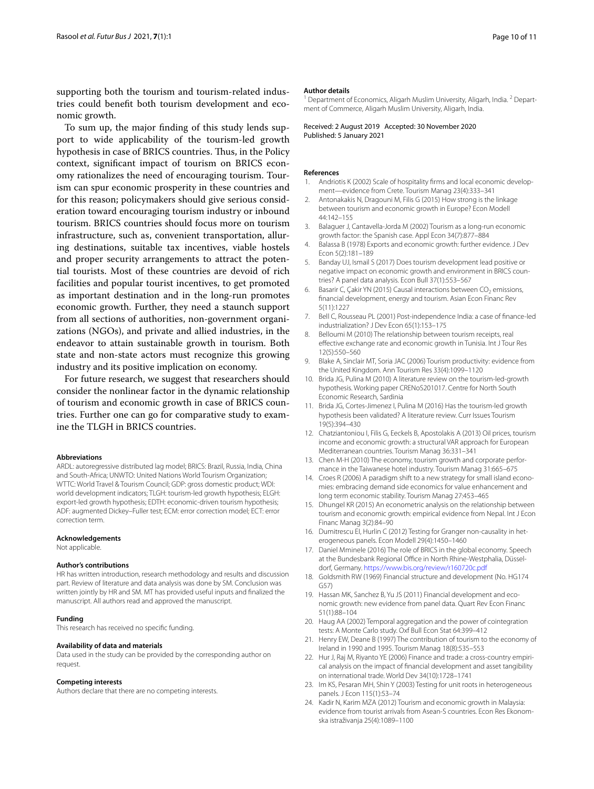supporting both the tourism and tourism-related industries could beneft both tourism development and economic growth.

To sum up, the major fnding of this study lends support to wide applicability of the tourism-led growth hypothesis in case of BRICS countries. Thus, in the Policy context, signifcant impact of tourism on BRICS economy rationalizes the need of encouraging tourism. Tourism can spur economic prosperity in these countries and for this reason; policymakers should give serious consideration toward encouraging tourism industry or inbound tourism. BRICS countries should focus more on tourism infrastructure, such as, convenient transportation, alluring destinations, suitable tax incentives, viable hostels and proper security arrangements to attract the potential tourists. Most of these countries are devoid of rich facilities and popular tourist incentives, to get promoted as important destination and in the long-run promotes economic growth. Further, they need a staunch support from all sections of authorities, non-government organizations (NGOs), and private and allied industries, in the endeavor to attain sustainable growth in tourism. Both state and non-state actors must recognize this growing industry and its positive implication on economy.

For future research, we suggest that researchers should consider the nonlinear factor in the dynamic relationship of tourism and economic growth in case of BRICS countries. Further one can go for comparative study to examine the TLGH in BRICS countries.

#### **Abbreviations**

ARDL: autoregressive distributed lag model; BRICS: Brazil, Russia, India, China and South-Africa; UNWTO: United Nations World Tourism Organization; WTTC: World Travel & Tourism Council; GDP: gross domestic product; WDI: world development indicators; TLGH: tourism-led growth hypothesis; ELGH: export-led growth hypothesis; EDTH: economic-driven tourism hypothesis; ADF: augmented Dickey–Fuller test; ECM: error correction model; ECT: error correction term.

#### **Acknowledgements**

Not applicable.

#### **Author's contributions**

HR has written introduction, research methodology and results and discussion part. Review of literature and data analysis was done by SM. Conclusion was written jointly by HR and SM. MT has provided useful inputs and fnalized the manuscript. All authors read and approved the manuscript.

#### **Funding**

This research has received no specifc funding.

#### **Availability of data and materials**

Data used in the study can be provided by the corresponding author on request.

#### **Competing interests**

Authors declare that there are no competing interests.

#### **Author details**

<sup>1</sup> Department of Economics, Aligarh Muslim University, Aligarh, India.<sup>2</sup> Department of Commerce, Aligarh Muslim University, Aligarh, India.

Received: 2 August 2019 Accepted: 30 November 2020 Published: 5 January 2021

#### **References**

- <span id="page-9-2"></span>1. Andriotis K (2002) Scale of hospitality frms and local economic development—evidence from Crete. Tourism Manag 23(4):333–341
- <span id="page-9-15"></span>2. Antonakakis N, Dragouni M, Filis G (2015) How strong is the linkage between tourism and economic growth in Europe? Econ Modell 44:142–155
- <span id="page-9-5"></span>3. Balaguer J, Cantavella-Jorda M (2002) Tourism as a long-run economic growth factor: the Spanish case. Appl Econ 34(7):877–884
- <span id="page-9-6"></span>4. Balassa B (1978) Exports and economic growth: further evidence. J Dev Econ 5(2):181–189
- <span id="page-9-11"></span>5. Banday UJ, Ismail S (2017) Does tourism development lead positive or negative impact on economic growth and environment in BRICS countries? A panel data analysis. Econ Bull 37(1):553–567
- <span id="page-9-23"></span>6. Basarir C, Çakir YN (2015) Causal interactions between  $CO<sub>2</sub>$  emissions, fnancial development, energy and tourism. Asian Econ Financ Rev 5(11):1227
- <span id="page-9-21"></span>7. Bell C, Rousseau PL (2001) Post-independence India: a case of fnance-led industrialization? J Dev Econ 65(1):153–175
- <span id="page-9-13"></span>8. Belloumi M (2010) The relationship between tourism receipts, real efective exchange rate and economic growth in Tunisia. Int J Tour Res 12(5):550–560
- <span id="page-9-1"></span>9. Blake A, Sinclair MT, Soria JAC (2006) Tourism productivity: evidence from the United Kingdom. Ann Tourism Res 33(4):1099–1120
- <span id="page-9-10"></span>10. Brida JG, Pulina M (2010) A literature review on the tourism-led-growth hypothesis. Working paper CRENoS201017. Centre for North South Economic Research, Sardinia
- <span id="page-9-4"></span>11. Brida JG, Cortes-Jimenez I, Pulina M (2016) Has the tourism-led growth hypothesis been validated? A literature review. Curr Issues Tourism 19(5):394–430
- <span id="page-9-9"></span>12. Chatziantoniou I, Filis G, Eeckels B, Apostolakis A (2013) Oil prices, tourism income and economic growth: a structural VAR approach for European Mediterranean countries. Tourism Manag 36:331–341
- <span id="page-9-22"></span>13. Chen M-H (2010) The economy, tourism growth and corporate performance in the Taiwanese hotel industry. Tourism Manag 31:665–675
- <span id="page-9-3"></span>14. Croes R (2006) A paradigm shift to a new strategy for small island economies: embracing demand side economics for value enhancement and long term economic stability. Tourism Manag 27:453–465
- <span id="page-9-12"></span>15. Dhungel KR (2015) An econometric analysis on the relationship between tourism and economic growth: empirical evidence from Nepal. Int J Econ Financ Manag 3(2):84–90
- <span id="page-9-17"></span>16. Dumitrescu EI, Hurlin C (2012) Testing for Granger non-causality in heterogeneous panels. Econ Modell 29(4):1450–1460
- <span id="page-9-0"></span>17. Daniel Mminele (2016) The role of BRICS in the global economy. Speech at the Bundesbank Regional Office in North Rhine-Westphalia, Düsseldorf, Germany.<https://www.bis.org/review/r160720c.pdf>
- <span id="page-9-7"></span>18. Goldsmith RW (1969) Financial structure and development (No. HG174 G57)
- <span id="page-9-18"></span>19. Hassan MK, Sanchez B, Yu JS (2011) Financial development and economic growth: new evidence from panel data. Quart Rev Econ Financ 51(1):88–104
- <span id="page-9-20"></span>20. Haug AA (2002) Temporal aggregation and the power of cointegration tests: A Monte Carlo study. Oxf Bull Econ Stat 64:399–412
- <span id="page-9-8"></span>21. Henry EW, Deane B (1997) The contribution of tourism to the economy of Ireland in 1990 and 1995. Tourism Manag 18(8):535–553
- <span id="page-9-16"></span>22. Hur J, Raj M, Riyanto YE (2006) Finance and trade: a cross-country empirical analysis on the impact of fnancial development and asset tangibility on international trade. World Dev 34(10):1728–1741
- <span id="page-9-19"></span>23. Im KS, Pesaran MH, Shin Y (2003) Testing for unit roots in heterogeneous panels. J Econ 115(1):53–74
- <span id="page-9-14"></span>24. Kadir N, Karim MZA (2012) Tourism and economic growth in Malaysia: evidence from tourist arrivals from Asean-S countries. Econ Res Ekonomska istraživanja 25(4):1089–1100